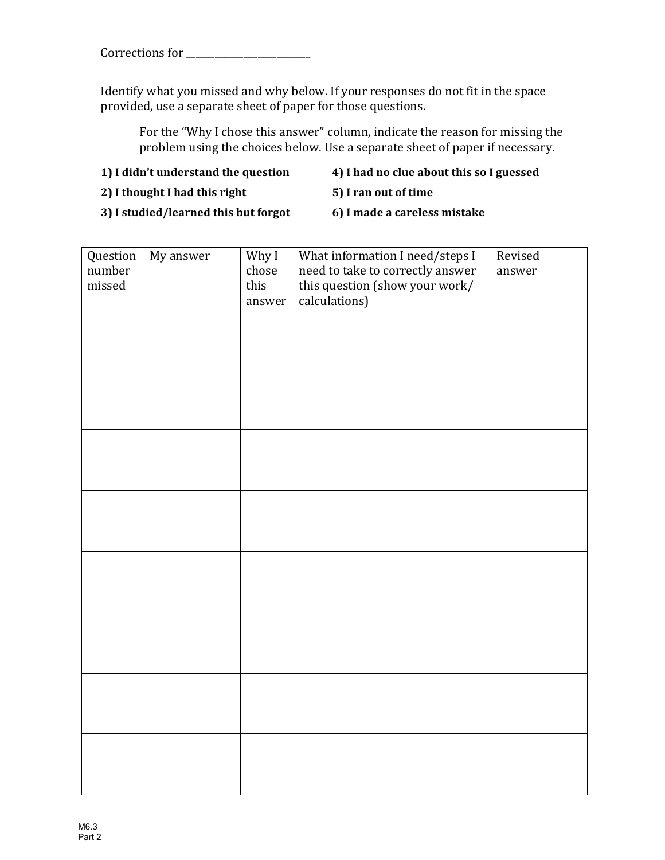Corrections for \_\_\_\_\_\_\_\_\_\_\_\_\_\_\_\_\_\_\_\_\_\_\_\_\_\_

Identify what you missed and why below. If your responses do not fit in the space provided, use a separate sheet of paper for those questions.

For the "Why I chose this answer" column, indicate the reason for missing the problem using the choices below. Use a separate sheet of paper if necessary.

- **1)** I didn't understand the question **4)** I had no clue about this so I guessed
- **2)** I thought I had this right **5)** I ran out of time
- -

**3)** I studied/learned this but forgot **6)** I made a careless mistake

| Question | My answer | Why I  | What information I need/steps I  | Revised |
|----------|-----------|--------|----------------------------------|---------|
| number   |           | chose  | need to take to correctly answer | answer  |
| missed   |           | this   | this question (show your work/   |         |
|          |           | answer | calculations)                    |         |
|          |           |        |                                  |         |
|          |           |        |                                  |         |
|          |           |        |                                  |         |
|          |           |        |                                  |         |
|          |           |        |                                  |         |
|          |           |        |                                  |         |
|          |           |        |                                  |         |
|          |           |        |                                  |         |
|          |           |        |                                  |         |
|          |           |        |                                  |         |
|          |           |        |                                  |         |
|          |           |        |                                  |         |
|          |           |        |                                  |         |
|          |           |        |                                  |         |
|          |           |        |                                  |         |
|          |           |        |                                  |         |
|          |           |        |                                  |         |
|          |           |        |                                  |         |
|          |           |        |                                  |         |
|          |           |        |                                  |         |
|          |           |        |                                  |         |
|          |           |        |                                  |         |
|          |           |        |                                  |         |
|          |           |        |                                  |         |
|          |           |        |                                  |         |
|          |           |        |                                  |         |
|          |           |        |                                  |         |
|          |           |        |                                  |         |
|          |           |        |                                  |         |
|          |           |        |                                  |         |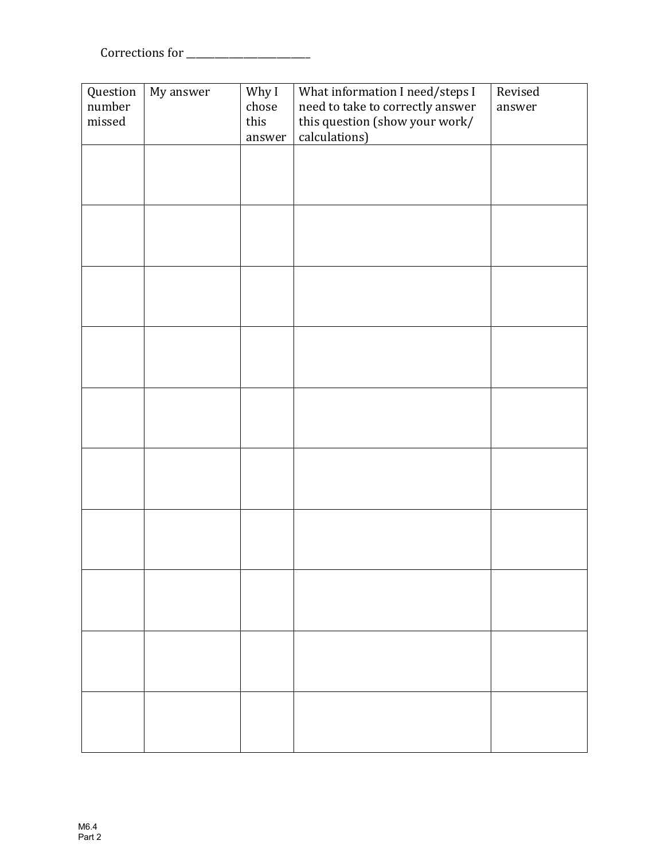$Corrections for \begin{tabular}{c} \hline \rule[1ex]{.1ex}{1ex}\rule[1ex]{.1ex}{1ex}\rule[1ex]{.1ex}{1ex}\rule[1ex]{.1ex}{1ex}\rule[1ex]{.1ex}{1ex}\rule[1ex]{.1ex}{1ex}\rule[1ex]{.1ex}{1ex}\rule[1ex]{.1ex}{1ex}\rule[1ex]{.1ex}{1ex}\rule[1ex]{.1ex}{1ex}\rule[1ex]{.1ex}{1ex}\rule[1ex]{.1ex}{1ex}\rule[1ex]{.1ex}{1ex}\rule[1ex]{.1ex}{1ex}\rule[1ex]{.1ex}{1ex}\rule[1ex]{.1ex}{1ex}\rule[1ex]{.1ex}{1ex}\rule$ 

| Question         | My answer | Why I                           | What information I need/steps I                                    | Revised |
|------------------|-----------|---------------------------------|--------------------------------------------------------------------|---------|
| number<br>missed |           | $\operatorname{choose}$<br>this | need to take to correctly answer<br>this question (show your work/ | answer  |
|                  |           | answer                          | calculations)                                                      |         |
|                  |           |                                 |                                                                    |         |
|                  |           |                                 |                                                                    |         |
|                  |           |                                 |                                                                    |         |
|                  |           |                                 |                                                                    |         |
|                  |           |                                 |                                                                    |         |
|                  |           |                                 |                                                                    |         |
|                  |           |                                 |                                                                    |         |
|                  |           |                                 |                                                                    |         |
|                  |           |                                 |                                                                    |         |
|                  |           |                                 |                                                                    |         |
|                  |           |                                 |                                                                    |         |
|                  |           |                                 |                                                                    |         |
|                  |           |                                 |                                                                    |         |
|                  |           |                                 |                                                                    |         |
|                  |           |                                 |                                                                    |         |
|                  |           |                                 |                                                                    |         |
|                  |           |                                 |                                                                    |         |
|                  |           |                                 |                                                                    |         |
|                  |           |                                 |                                                                    |         |
|                  |           |                                 |                                                                    |         |
|                  |           |                                 |                                                                    |         |
|                  |           |                                 |                                                                    |         |
|                  |           |                                 |                                                                    |         |
|                  |           |                                 |                                                                    |         |
|                  |           |                                 |                                                                    |         |
|                  |           |                                 |                                                                    |         |
|                  |           |                                 |                                                                    |         |
|                  |           |                                 |                                                                    |         |
|                  |           |                                 |                                                                    |         |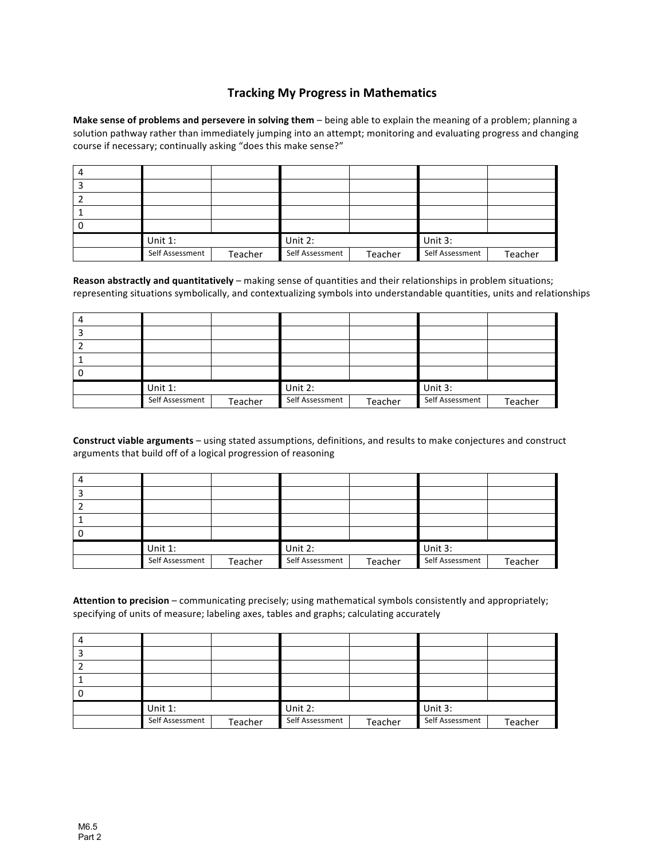## **Tracking My Progress in Mathematics**

**Make sense of problems and persevere in solving them** – being able to explain the meaning of a problem; planning a solution pathway rather than immediately jumping into an attempt; monitoring and evaluating progress and changing course if necessary; continually asking "does this make sense?"

| Unit $1$ :      |         | Unit 2:         |         | Unit 3:         |         |
|-----------------|---------|-----------------|---------|-----------------|---------|
| Self Assessment | Teacher | Self Assessment | Teacher | Self Assessment | Teacher |

Reason abstractly and quantitatively – making sense of quantities and their relationships in problem situations; representing situations symbolically, and contextualizing symbols into understandable quantities, units and relationships

| Unit 1:         |         | Unit 2:         |         | Unit 3:         |         |
|-----------------|---------|-----------------|---------|-----------------|---------|
| Self Assessment | Teacher | Self Assessment | Teacher | Self Assessment | Teacher |

Construct viable arguments – using stated assumptions, definitions, and results to make conjectures and construct arguments that build off of a logical progression of reasoning

| Unit $1$ :      |         | Unit 2:         |         | Unit 3:         |         |
|-----------------|---------|-----------------|---------|-----------------|---------|
| Self Assessment | Teacher | Self Assessment | Teacher | Self Assessment | Teacher |

Attention to precision – communicating precisely; using mathematical symbols consistently and appropriately; specifying of units of measure; labeling axes, tables and graphs; calculating accurately

| Unit 1:         |         | Unit 2:         |         | Unit 3:         |         |
|-----------------|---------|-----------------|---------|-----------------|---------|
| Self Assessment | Teacher | Self Assessment | Teacher | Self Assessment | Teacher |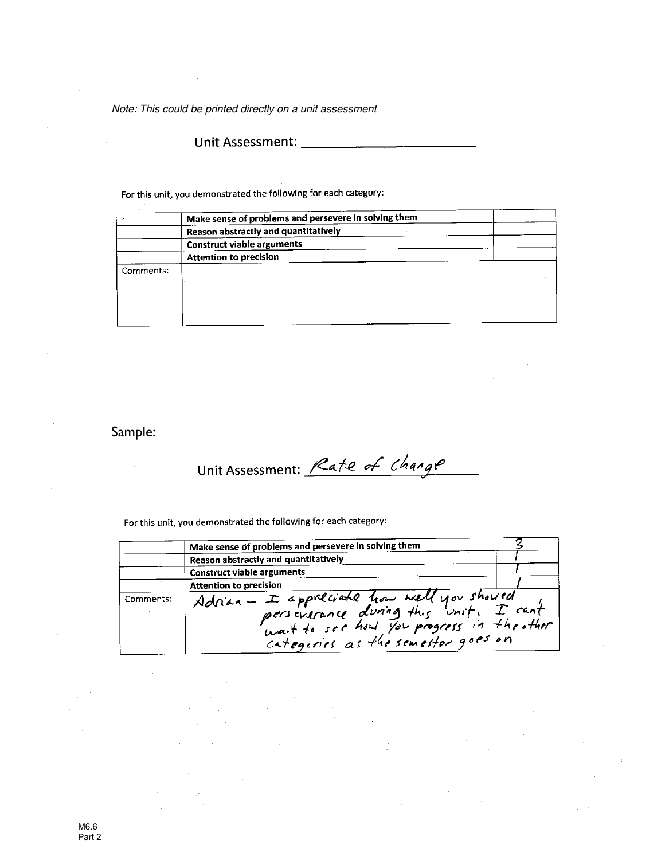*Note: This could be printed directly on a unit assessment*

For this unit, you demonstrated the following for each category:

|           | Make sense of problems and persevere in solving them |  |
|-----------|------------------------------------------------------|--|
|           | Reason abstractly and quantitatively                 |  |
|           | <b>Construct viable arguments</b>                    |  |
|           | <b>Attention to precision</b>                        |  |
| Comments: |                                                      |  |
|           |                                                      |  |
|           |                                                      |  |
|           |                                                      |  |
|           |                                                      |  |

Sample:

Unit Assessment: Rate of Change

For this unit, you demonstrated the following for each category:

|           | Make sense of problems and persevere in solving them                            |  |
|-----------|---------------------------------------------------------------------------------|--|
|           | Reason abstractly and quantitatively                                            |  |
|           | <b>Construct viable arguments</b>                                               |  |
|           | <b>Attention to precision</b>                                                   |  |
| Comments: | Adrian - I appreciate how well you should<br>categories as the semester goes on |  |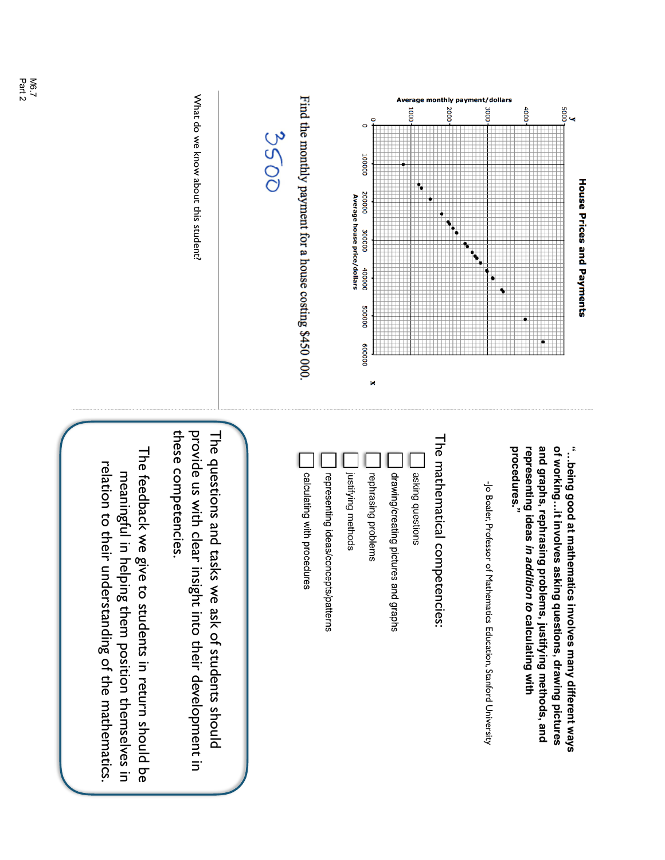| <b>House Prices and Payments</b>                                                                             |                                                                                                                                                                  |
|--------------------------------------------------------------------------------------------------------------|------------------------------------------------------------------------------------------------------------------------------------------------------------------|
| $\frac{9}{5000}$                                                                                             | of workingit involves asking questions, drawing pictures<br>"being good at mathematics involves many different ways                                              |
| 4000                                                                                                         | and graphs, rephrasing problems, justifying methods, and<br>representing ideas in addition to calculating with                                                   |
| ٩                                                                                                            | procedures."                                                                                                                                                     |
| Average monthly payment/dollars<br>3000                                                                      | -jo Boaler, Professor of<br>Mathematics Education, Stanford University                                                                                           |
| 2000                                                                                                         | The mathematical competencies:                                                                                                                                   |
| 1000<br>۰.                                                                                                   | asking questions                                                                                                                                                 |
|                                                                                                              | drawing/creating pictures and graphs                                                                                                                             |
| $\circ$<br>O<br>100000<br>200000<br>Average house price/dollars<br>300000<br>100000<br>000005<br>000009<br>× | justifying methods<br>rephrasing problems                                                                                                                        |
|                                                                                                              | representing ideas/concepts/patterns                                                                                                                             |
| Find the monthly payment for a house costing \$450 000.                                                      | calculating with procedures                                                                                                                                      |
| 3500                                                                                                         |                                                                                                                                                                  |
| What do we know about this student.                                                                          | provide us with clear insight into their development in<br>these competencies.<br>The questions and tasks we ask of students should                              |
|                                                                                                              | The feedback we give to students in return should be<br>relation to their understanding of the mathematics.<br>meaningful in helping them position themselves in |
| $\frac{6}{7}$<br>$\frac{7}{9}$                                                                               |                                                                                                                                                                  |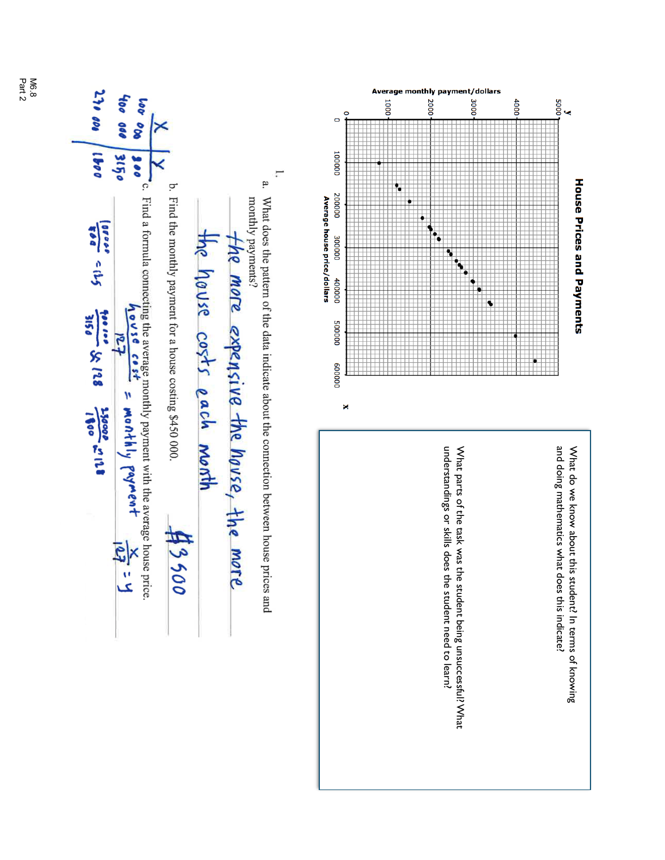

M6.8<br>Part 2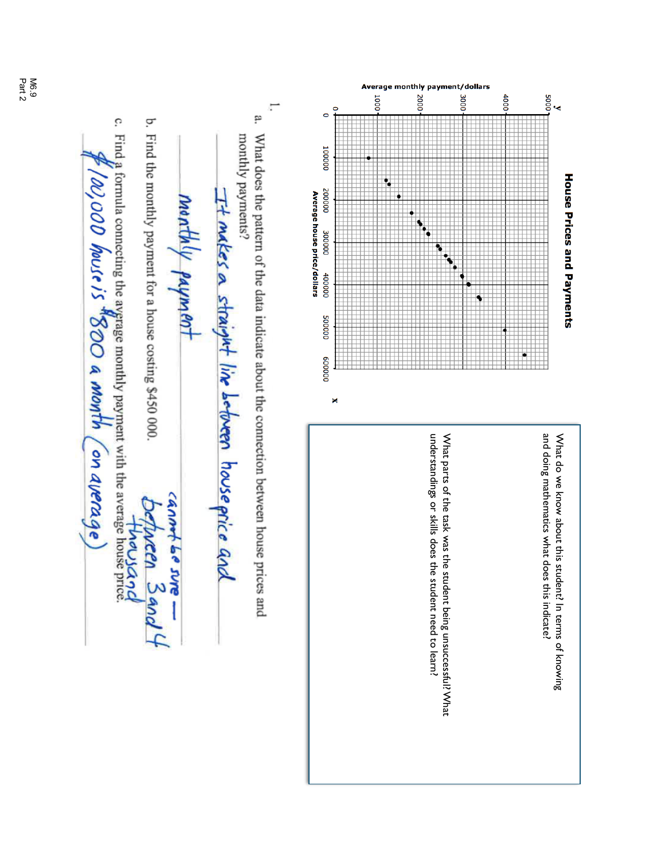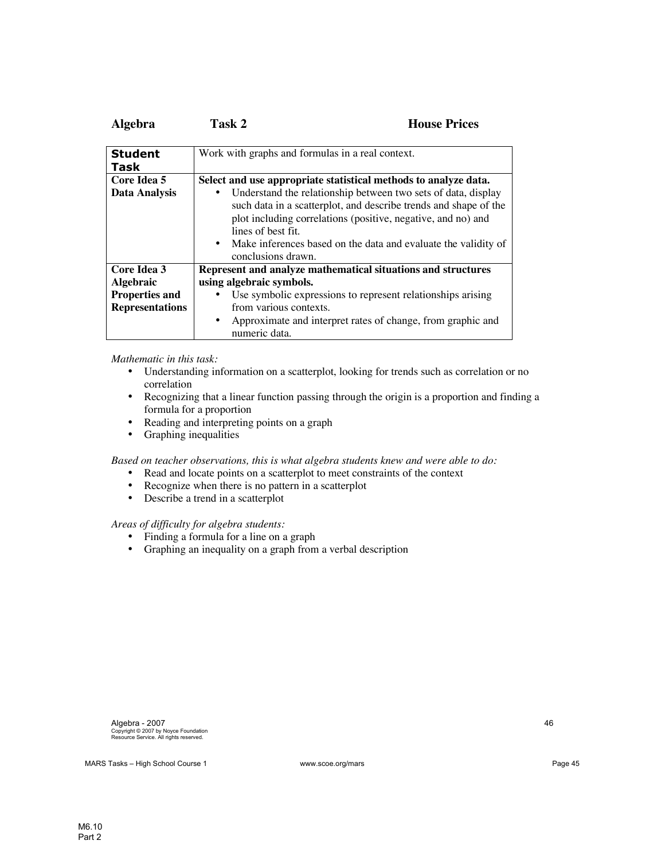| Algebra                | Task 2                                                | <b>House Prices</b>                                                                                                                                                                                                                                                 |
|------------------------|-------------------------------------------------------|---------------------------------------------------------------------------------------------------------------------------------------------------------------------------------------------------------------------------------------------------------------------|
| <b>Student</b>         |                                                       | Work with graphs and formulas in a real context.                                                                                                                                                                                                                    |
| Task                   |                                                       |                                                                                                                                                                                                                                                                     |
| Core Idea 5            |                                                       | Select and use appropriate statistical methods to analyze data.                                                                                                                                                                                                     |
| Data Analysis          | lines of best fit.<br>$\bullet$<br>conclusions drawn. | Understand the relationship between two sets of data, display<br>such data in a scatterplot, and describe trends and shape of the<br>plot including correlations (positive, negative, and no) and<br>Make inferences based on the data and evaluate the validity of |
| Core Idea 3            |                                                       | Represent and analyze mathematical situations and structures                                                                                                                                                                                                        |
| <b>Algebraic</b>       | using algebraic symbols.                              |                                                                                                                                                                                                                                                                     |
| <b>Properties and</b>  |                                                       | Use symbolic expressions to represent relationships arising                                                                                                                                                                                                         |
| <b>Representations</b> | from various contexts.                                |                                                                                                                                                                                                                                                                     |
|                        | $\bullet$<br>numeric data.                            | Approximate and interpret rates of change, from graphic and                                                                                                                                                                                                         |

*Mathematic in this task:*

- Understanding information on a scatterplot, looking for trends such as correlation or no correlation
- Recognizing that a linear function passing through the origin is a proportion and finding a formula for a proportion
- Reading and interpreting points on a graph<br>• Graphing inequalities
- Graphing inequalities

*Based on teacher observations, this is what algebra students knew and were able to do:*

- Read and locate points on a scatterplot to meet constraints of the context
- Recognize when there is no pattern in a scatterplot
- Describe a trend in a scatterplot

*Areas of difficulty for algebra students:*

- Finding a formula for a line on a graph
- Graphing an inequality on a graph from a verbal description

MARS Tasks – High School Course 1 www.scoe.org/mars example and the page 45